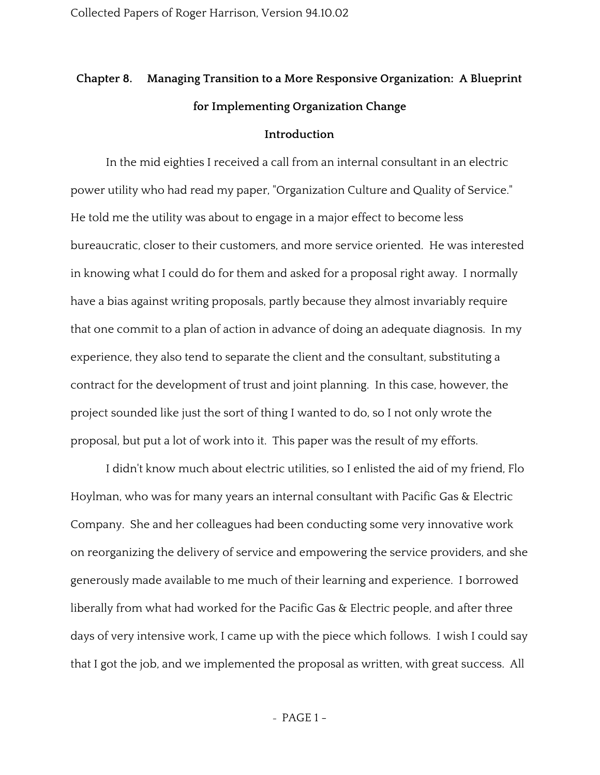# **Chapter 8. Managing Transition to a More Responsive Organization: A Blueprint for Implementing Organization Change**

### **Introduction**

In the mid eighties I received a call from an internal consultant in an electric power utility who had read my paper, "Organization Culture and Quality of Service." He told me the utility was about to engage in a major effect to become less bureaucratic, closer to their customers, and more service oriented. He was interested in knowing what I could do for them and asked for a proposal right away. I normally have a bias against writing proposals, partly because they almost invariably require that one commit to a plan of action in advance of doing an adequate diagnosis. In my experience, they also tend to separate the client and the consultant, substituting a contract for the development of trust and joint planning. In this case, however, the project sounded like just the sort of thing I wanted to do, so I not only wrote the proposal, but put a lot of work into it. This paper was the result of my efforts.

I didn't know much about electric utilities, so I enlisted the aid of my friend, Flo Hoylman, who was for many years an internal consultant with Pacific Gas & Electric Company. She and her colleagues had been conducting some very innovative work on reorganizing the delivery of service and empowering the service providers, and she generously made available to me much of their learning and experience. I borrowed liberally from what had worked for the Pacific Gas & Electric people, and after three days of very intensive work, I came up with the piece which follows. I wish I could say that I got the job, and we implemented the proposal as written, with great success. All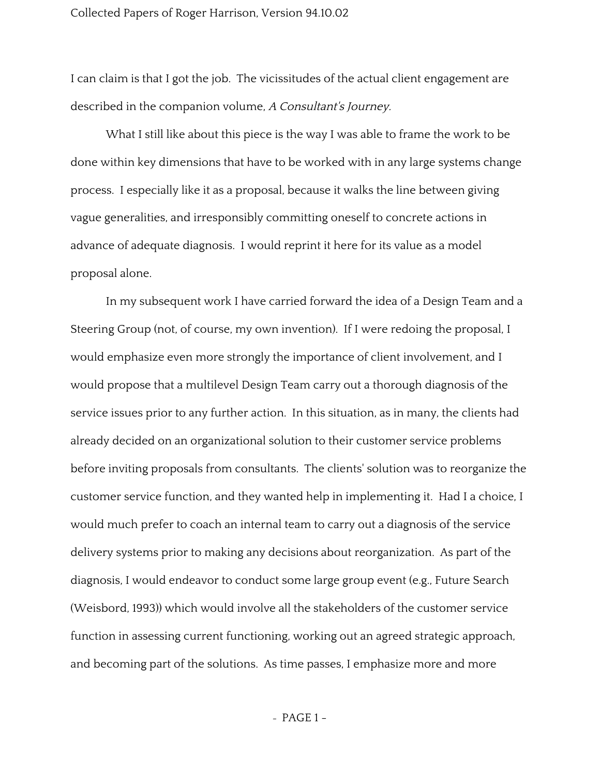I can claim is that I got the job. The vicissitudes of the actual client engagement are described in the companion volume, <sup>A</sup> Consultant's Journey.

What I still like about this piece is the way I was able to frame the work to be done within key dimensions that have to be worked with in any large systems change process. I especially like it as a proposal, because it walks the line between giving vague generalities, and irresponsibly committing oneself to concrete actions in advance of adequate diagnosis. I would reprint it here for its value as a model proposal alone.

In my subsequent work I have carried forward the idea of a Design Team and a Steering Group (not, of course, my own invention). If I were redoing the proposal, I would emphasize even more strongly the importance of client involvement, and I would propose that a multilevel Design Team carry out a thorough diagnosis of the service issues prior to any further action. In this situation, as in many, the clients had already decided on an organizational solution to their customer service problems before inviting proposals from consultants. The clients' solution was to reorganize the customer service function, and they wanted help in implementing it. Had I a choice, I would much prefer to coach an internal team to carry out a diagnosis of the service delivery systems prior to making any decisions about reorganization. As part of the diagnosis, I would endeavor to conduct some large group event (e.g., Future Search (Weisbord, 1993)) which would involve all the stakeholders of the customer service function in assessing current functioning, working out an agreed strategic approach, and becoming part of the solutions. As time passes, I emphasize more and more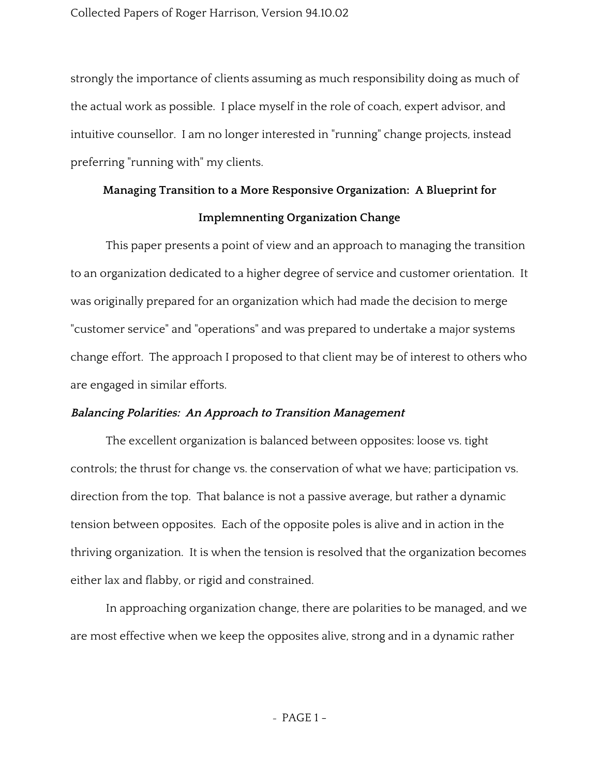strongly the importance of clients assuming as much responsibility doing as much of the actual work as possible. I place myself in the role of coach, expert advisor, and intuitive counsellor. I am no longer interested in "running" change projects, instead preferring "running with" my clients.

# **Managing Transition to a More Responsive Organization: A Blueprint for Implemnenting Organization Change**

This paper presents a point of view and an approach to managing the transition to an organization dedicated to a higher degree of service and customer orientation. It was originally prepared for an organization which had made the decision to merge "customer service" and "operations" and was prepared to undertake a major systems change effort. The approach I proposed to that client may be of interest to others who are engaged in similar efforts.

## **Balancing Polarities: An Approach to Transition Management**

The excellent organization is balanced between opposites: loose vs. tight controls; the thrust for change vs. the conservation of what we have; participation vs. direction from the top. That balance is not a passive average, but rather a dynamic tension between opposites. Each of the opposite poles is alive and in action in the thriving organization. It is when the tension is resolved that the organization becomes either lax and flabby, or rigid and constrained.

In approaching organization change, there are polarities to be managed, and we are most effective when we keep the opposites alive, strong and in a dynamic rather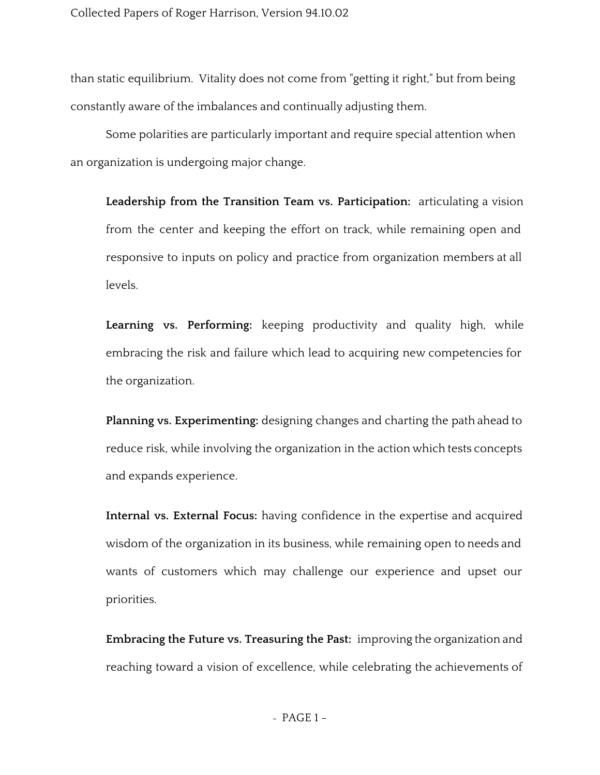than static equilibrium. Vitality does not come from "getting it right," but from being constantly aware of the imbalances and continually adjusting them.

Some polarities are particularly important and require special attention when an organization is undergoing major change.

**Leadership from the Transition Team vs. Participation:** articulating a vision from the center and keeping the effort on track, while remaining open and responsive to inputs on policy and practice from organization members at all levels.

**Learning vs. Performing:** keeping productivity and quality high, while embracing the risk and failure which lead to acquiring new competencies for the organization.

**Planning vs. Experimenting:** designing changes and charting the path ahead to reduce risk, while involving the organization in the action which tests concepts and expands experience.

**Internal vs. External Focus:** having confidence in the expertise and acquired wisdom of the organization in its business, while remaining open to needs and wants of customers which may challenge our experience and upset our priorities.

**Embracing the Future vs. Treasuring the Past:** improving the organization and reaching toward a vision of excellence, while celebrating the achievements of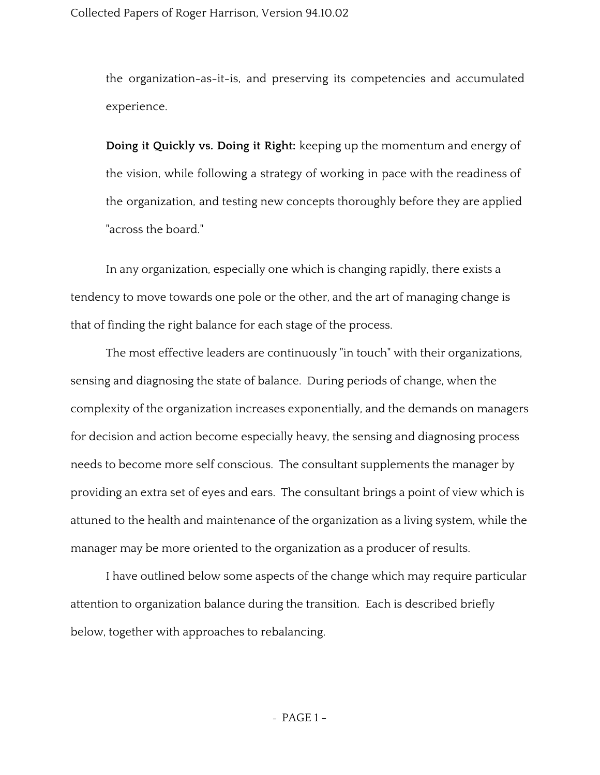the organization-as-it-is, and preserving its competencies and accumulated experience.

**Doing it Quickly vs. Doing it Right:** keeping up the momentum and energy of the vision, while following a strategy of working in pace with the readiness of the organization, and testing new concepts thoroughly before they are applied "across the board."

In any organization, especially one which is changing rapidly, there exists a tendency to move towards one pole or the other, and the art of managing change is that of finding the right balance for each stage of the process.

The most effective leaders are continuously "in touch" with their organizations, sensing and diagnosing the state of balance. During periods of change, when the complexity of the organization increases exponentially, and the demands on managers for decision and action become especially heavy, the sensing and diagnosing process needs to become more self conscious. The consultant supplements the manager by providing an extra set of eyes and ears. The consultant brings a point of view which is attuned to the health and maintenance of the organization as a living system, while the manager may be more oriented to the organization as a producer of results.

I have outlined below some aspects of the change which may require particular attention to organization balance during the transition. Each is described briefly below, together with approaches to rebalancing.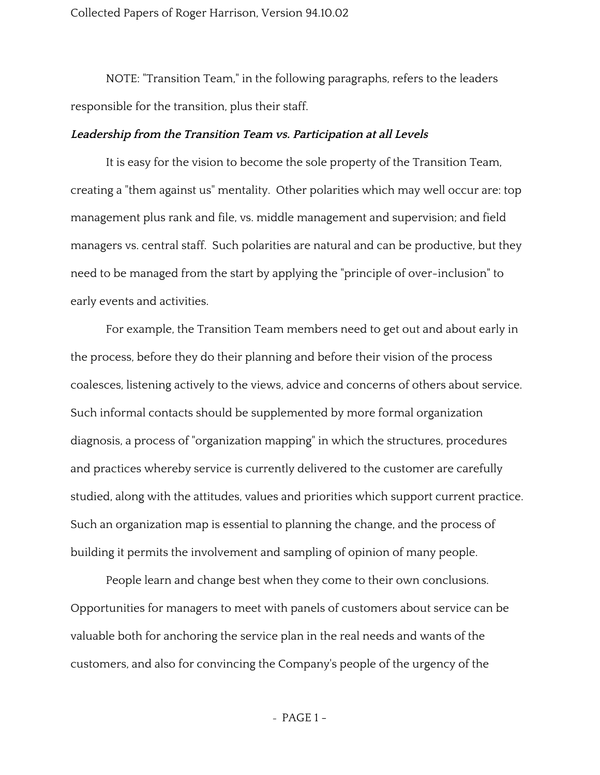NOTE: "Transition Team," in the following paragraphs, refers to the leaders responsible for the transition, plus their staff.

### **Leadership from the Transition Team vs. Participation at all Levels**

It is easy for the vision to become the sole property of the Transition Team, creating a "them against us" mentality. Other polarities which may well occur are: top management plus rank and file, vs. middle management and supervision; and field managers vs. central staff. Such polarities are natural and can be productive, but they need to be managed from the start by applying the "principle of over-inclusion" to early events and activities.

For example, the Transition Team members need to get out and about early in the process, before they do their planning and before their vision of the process coalesces, listening actively to the views, advice and concerns of others about service. Such informal contacts should be supplemented by more formal organization diagnosis, a process of "organization mapping" in which the structures, procedures and practices whereby service is currently delivered to the customer are carefully studied, along with the attitudes, values and priorities which support current practice. Such an organization map is essential to planning the change, and the process of building it permits the involvement and sampling of opinion of many people.

People learn and change best when they come to their own conclusions. Opportunities for managers to meet with panels of customers about service can be valuable both for anchoring the service plan in the real needs and wants of the customers, and also for convincing the Company's people of the urgency of the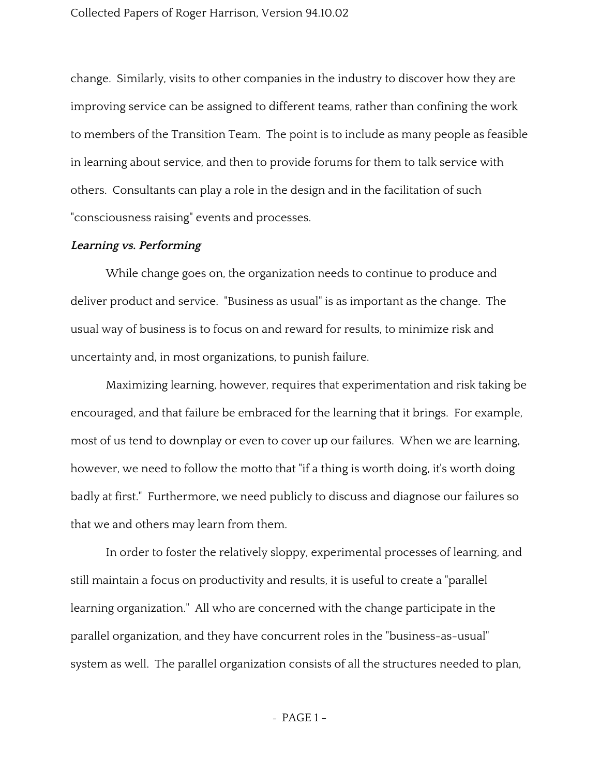change. Similarly, visits to other companies in the industry to discover how they are improving service can be assigned to different teams, rather than confining the work to members of the Transition Team. The point is to include as many people as feasible in learning about service, and then to provide forums for them to talk service with others. Consultants can play a role in the design and in the facilitation of such "consciousness raising" events and processes.

#### **Learning vs. Performing**

While change goes on, the organization needs to continue to produce and deliver product and service. "Business as usual" is as important as the change. The usual way of business is to focus on and reward for results, to minimize risk and uncertainty and, in most organizations, to punish failure.

Maximizing learning, however, requires that experimentation and risk taking be encouraged, and that failure be embraced for the learning that it brings. For example, most of us tend to downplay or even to cover up our failures. When we are learning, however, we need to follow the motto that "if a thing is worth doing, it's worth doing badly at first." Furthermore, we need publicly to discuss and diagnose our failures so that we and others may learn from them.

In order to foster the relatively sloppy, experimental processes of learning, and still maintain a focus on productivity and results, it is useful to create a "parallel learning organization." All who are concerned with the change participate in the parallel organization, and they have concurrent roles in the "business-as-usual" system as well. The parallel organization consists of all the structures needed to plan,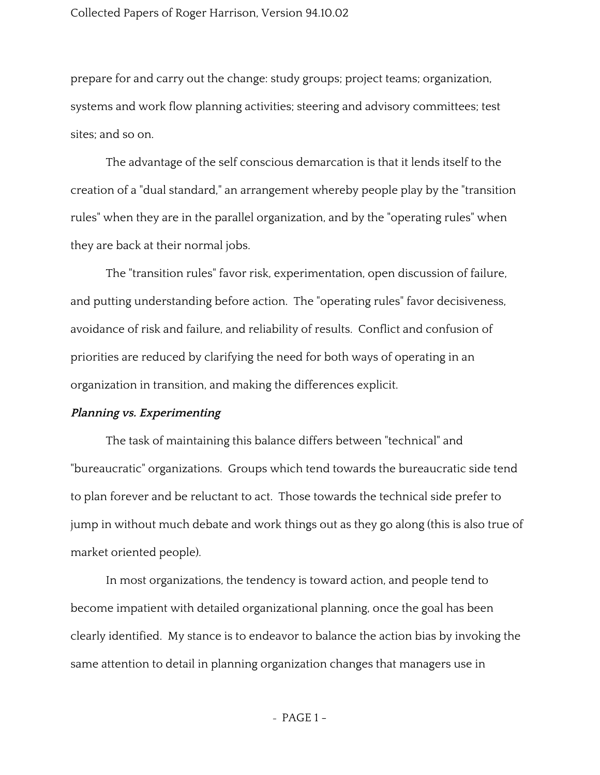prepare for and carry out the change: study groups; project teams; organization, systems and work flow planning activities; steering and advisory committees; test sites; and so on.

The advantage of the self conscious demarcation is that it lends itself to the creation of a "dual standard," an arrangement whereby people play by the "transition rules" when they are in the parallel organization, and by the "operating rules" when they are back at their normal jobs.

The "transition rules" favor risk, experimentation, open discussion of failure, and putting understanding before action. The "operating rules" favor decisiveness, avoidance of risk and failure, and reliability of results. Conflict and confusion of priorities are reduced by clarifying the need for both ways of operating in an organization in transition, and making the differences explicit.

#### **Planning vs. Experimenting**

The task of maintaining this balance differs between "technical" and "bureaucratic" organizations. Groups which tend towards the bureaucratic side tend to plan forever and be reluctant to act. Those towards the technical side prefer to jump in without much debate and work things out as they go along (this is also true of market oriented people).

In most organizations, the tendency is toward action, and people tend to become impatient with detailed organizational planning, once the goal has been clearly identified. My stance is to endeavor to balance the action bias by invoking the same attention to detail in planning organization changes that managers use in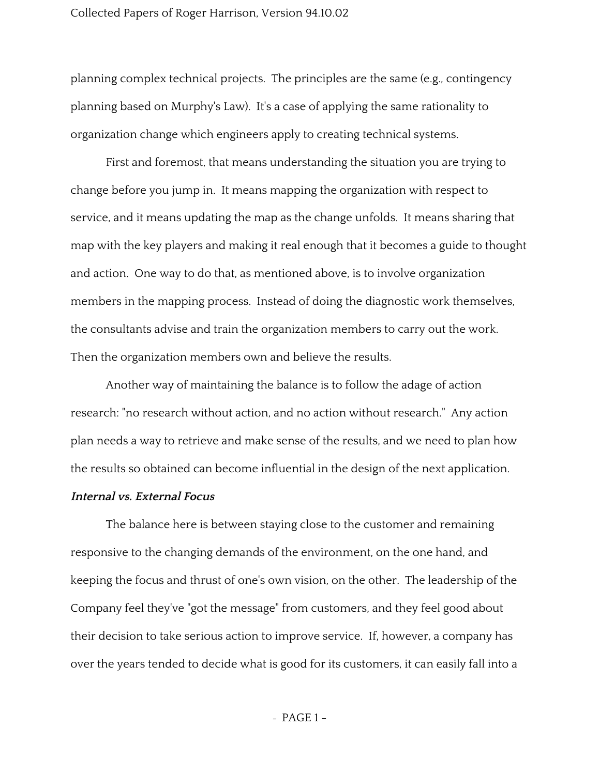planning complex technical projects. The principles are the same (e.g., contingency planning based on Murphy's Law). It's a case of applying the same rationality to organization change which engineers apply to creating technical systems.

First and foremost, that means understanding the situation you are trying to change before you jump in. It means mapping the organization with respect to service, and it means updating the map as the change unfolds. It means sharing that map with the key players and making it real enough that it becomes a guide to thought and action. One way to do that, as mentioned above, is to involve organization members in the mapping process. Instead of doing the diagnostic work themselves, the consultants advise and train the organization members to carry out the work. Then the organization members own and believe the results.

Another way of maintaining the balance is to follow the adage of action research: "no research without action, and no action without research." Any action plan needs a way to retrieve and make sense of the results, and we need to plan how the results so obtained can become influential in the design of the next application.

#### **Internal vs. External Focus**

The balance here is between staying close to the customer and remaining responsive to the changing demands of the environment, on the one hand, and keeping the focus and thrust of one's own vision, on the other. The leadership of the Company feel they've "got the message" from customers, and they feel good about their decision to take serious action to improve service. If, however, a company has over the years tended to decide what is good for its customers, it can easily fall into a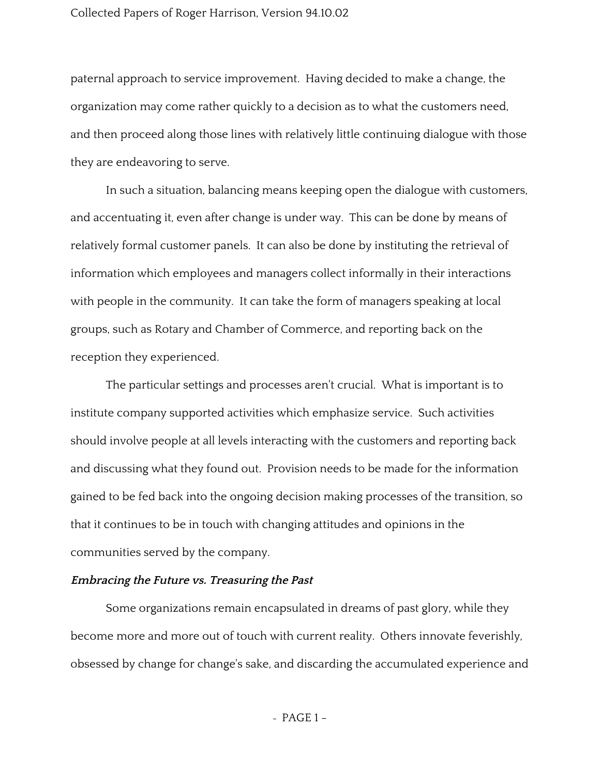paternal approach to service improvement. Having decided to make a change, the organization may come rather quickly to a decision as to what the customers need, and then proceed along those lines with relatively little continuing dialogue with those they are endeavoring to serve.

In such a situation, balancing means keeping open the dialogue with customers, and accentuating it, even after change is under way. This can be done by means of relatively formal customer panels. It can also be done by instituting the retrieval of information which employees and managers collect informally in their interactions with people in the community. It can take the form of managers speaking at local groups, such as Rotary and Chamber of Commerce, and reporting back on the reception they experienced.

The particular settings and processes aren't crucial. What is important is to institute company supported activities which emphasize service. Such activities should involve people at all levels interacting with the customers and reporting back and discussing what they found out. Provision needs to be made for the information gained to be fed back into the ongoing decision making processes of the transition, so that it continues to be in touch with changing attitudes and opinions in the communities served by the company.

### **Embracing the Future vs. Treasuring the Past**

Some organizations remain encapsulated in dreams of past glory, while they become more and more out of touch with current reality. Others innovate feverishly, obsessed by change for change's sake, and discarding the accumulated experience and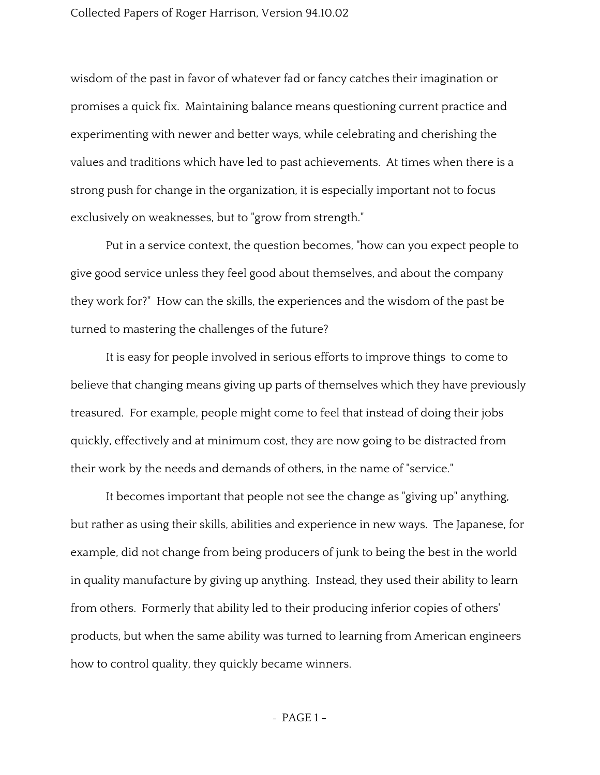wisdom of the past in favor of whatever fad or fancy catches their imagination or promises a quick fix. Maintaining balance means questioning current practice and experimenting with newer and better ways, while celebrating and cherishing the values and traditions which have led to past achievements. At times when there is a strong push for change in the organization, it is especially important not to focus exclusively on weaknesses, but to "grow from strength."

Put in a service context, the question becomes, "how can you expect people to give good service unless they feel good about themselves, and about the company they work for?" How can the skills, the experiences and the wisdom of the past be turned to mastering the challenges of the future?

It is easy for people involved in serious efforts to improve things to come to believe that changing means giving up parts of themselves which they have previously treasured. For example, people might come to feel that instead of doing their jobs quickly, effectively and at minimum cost, they are now going to be distracted from their work by the needs and demands of others, in the name of "service."

It becomes important that people not see the change as "giving up" anything, but rather as using their skills, abilities and experience in new ways. The Japanese, for example, did not change from being producers of junk to being the best in the world in quality manufacture by giving up anything. Instead, they used their ability to learn from others. Formerly that ability led to their producing inferior copies of others' products, but when the same ability was turned to learning from American engineers how to control quality, they quickly became winners.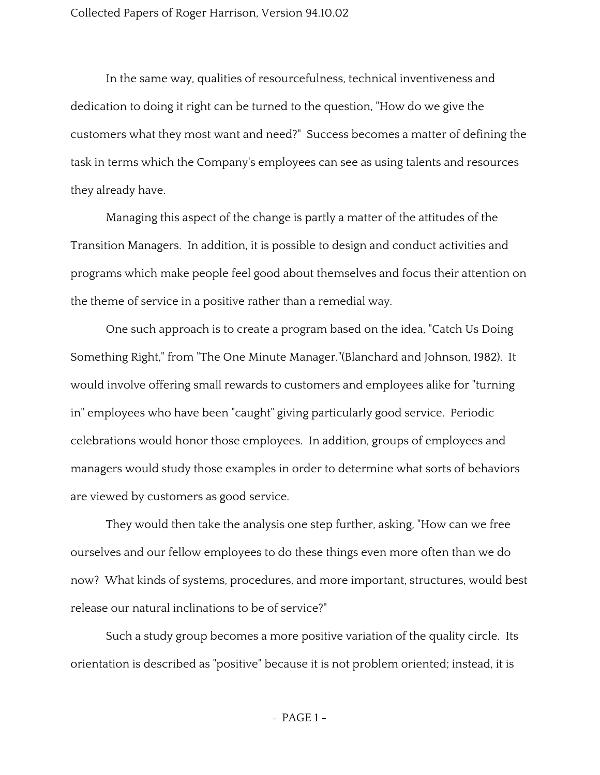In the same way, qualities of resourcefulness, technical inventiveness and dedication to doing it right can be turned to the question, "How do we give the customers what they most want and need?" Success becomes a matter of defining the task in terms which the Company's employees can see as using talents and resources they already have.

Managing this aspect of the change is partly a matter of the attitudes of the Transition Managers. In addition, it is possible to design and conduct activities and programs which make people feel good about themselves and focus their attention on the theme of service in a positive rather than a remedial way.

One such approach is to create a program based on the idea, "Catch Us Doing Something Right," from "The One Minute Manager."(Blanchard and Johnson, 1982). It would involve offering small rewards to customers and employees alike for "turning in" employees who have been "caught" giving particularly good service. Periodic celebrations would honor those employees. In addition, groups of employees and managers would study those examples in order to determine what sorts of behaviors are viewed by customers as good service.

They would then take the analysis one step further, asking, "How can we free ourselves and our fellow employees to do these things even more often than we do now? What kinds of systems, procedures, and more important, structures, would best release our natural inclinations to be of service?"

Such a study group becomes a more positive variation of the quality circle. Its orientation is described as "positive" because it is not problem oriented; instead, it is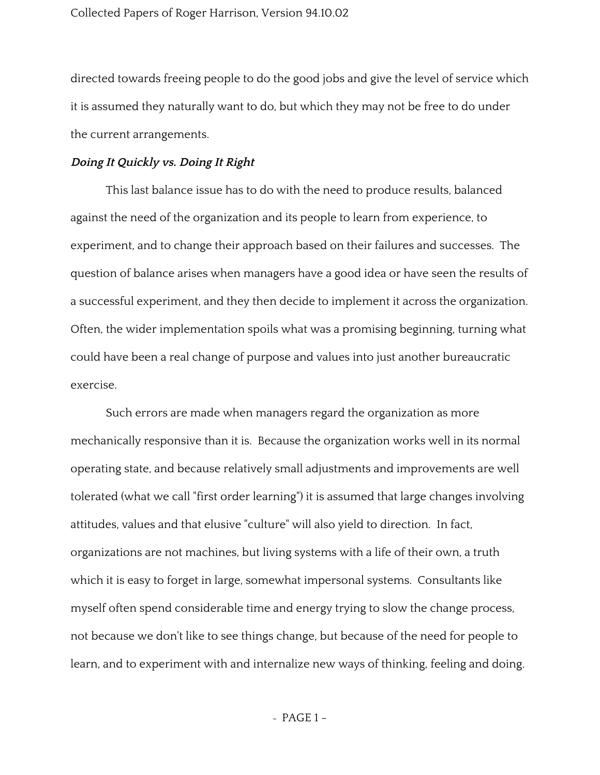directed towards freeing people to do the good jobs and give the level of service which it is assumed they naturally want to do, but which they may not be free to do under the current arrangements.

### **Doing It Quickly vs. Doing It Right**

This last balance issue has to do with the need to produce results, balanced against the need of the organization and its people to learn from experience, to experiment, and to change their approach based on their failures and successes. The question of balance arises when managers have a good idea or have seen the results of a successful experiment, and they then decide to implement it across the organization. Often, the wider implementation spoils what was a promising beginning, turning what could have been a real change of purpose and values into just another bureaucratic exercise.

Such errors are made when managers regard the organization as more mechanically responsive than it is. Because the organization works well in its normal operating state, and because relatively small adjustments and improvements are well tolerated (what we call "first order learning") it is assumed that large changes involving attitudes, values and that elusive "culture" will also yield to direction. In fact, organizations are not machines, but living systems with a life of their own, a truth which it is easy to forget in large, somewhat impersonal systems. Consultants like myself often spend considerable time and energy trying to slow the change process, not because we don't like to see things change, but because of the need for people to learn, and to experiment with and internalize new ways of thinking, feeling and doing.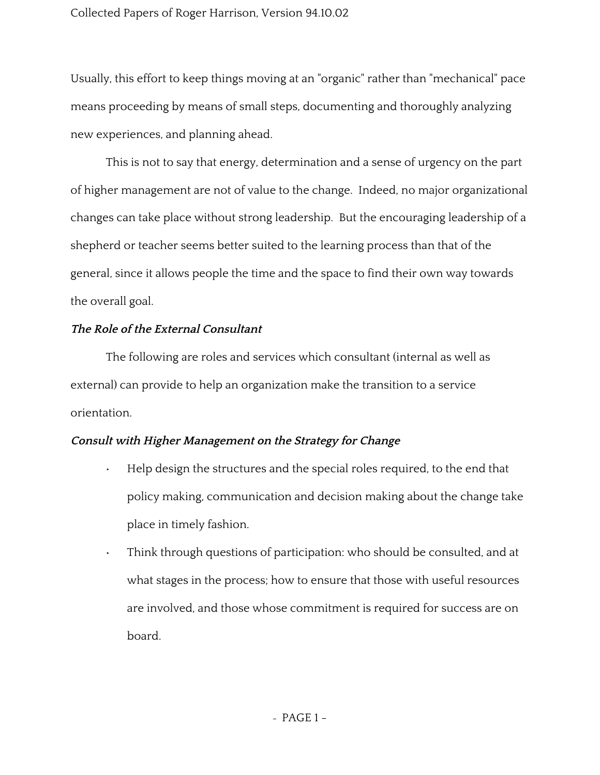Usually, this effort to keep things moving at an "organic" rather than "mechanical" pace means proceeding by means of small steps, documenting and thoroughly analyzing new experiences, and planning ahead.

This is not to say that energy, determination and a sense of urgency on the part of higher management are not of value to the change. Indeed, no major organizational changes can take place without strong leadership. But the encouraging leadership of a shepherd or teacher seems better suited to the learning process than that of the general, since it allows people the time and the space to find their own way towards the overall goal.

## **The Role of the External Consultant**

The following are roles and services which consultant (internal as well as external) can provide to help an organization make the transition to a service orientation.

# **Consult with Higher Management on the Strategy for Change**

- Help design the structures and the special roles required, to the end that policy making, communication and decision making about the change take place in timely fashion.
- Think through questions of participation: who should be consulted, and at what stages in the process; how to ensure that those with useful resources are involved, and those whose commitment is required for success are on board.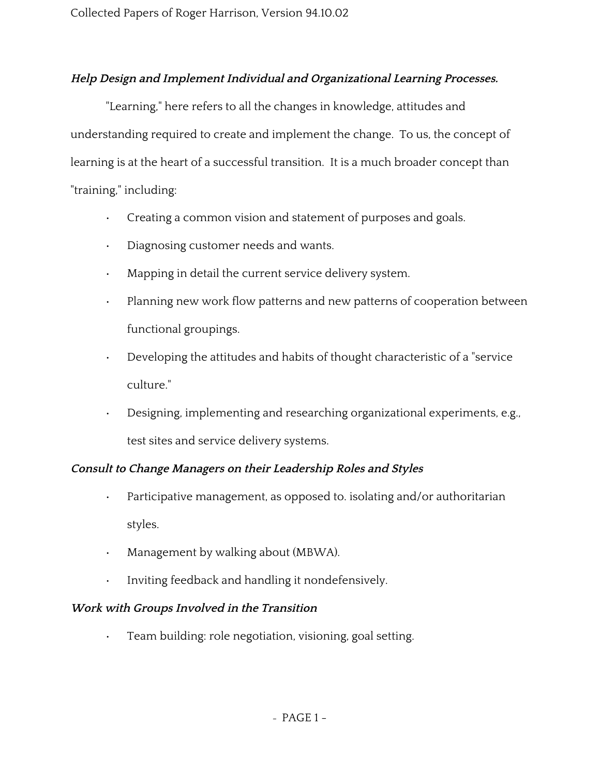# **Help Design and Implement Individual and Organizational Learning Processes.**

"Learning," here refers to all the changes in knowledge, attitudes and understanding required to create and implement the change. To us, the concept of learning is at the heart of a successful transition. It is a much broader concept than "training," including:

- Creating a common vision and statement of purposes and goals.
- Diagnosing customer needs and wants.
- Mapping in detail the current service delivery system.
- Planning new work flow patterns and new patterns of cooperation between functional groupings.
- Developing the attitudes and habits of thought characteristic of a "service culture."
- Designing, implementing and researching organizational experiments, e.g., test sites and service delivery systems.

# **Consult to Change Managers on their Leadership Roles and Styles**

- Participative management, as opposed to. isolating and/or authoritarian styles.
- Management by walking about (MBWA).
- Inviting feedback and handling it nondefensively.

# **Work with Groups Involved in the Transition**

• Team building: role negotiation, visioning, goal setting.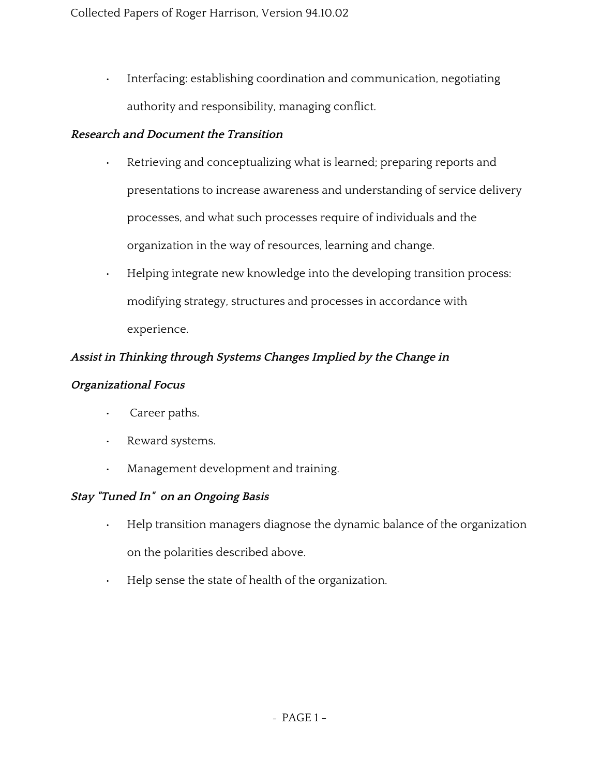• Interfacing: establishing coordination and communication, negotiating authority and responsibility, managing conflict.

# **Research and Document the Transition**

- Retrieving and conceptualizing what is learned; preparing reports and presentations to increase awareness and understanding of service delivery processes, and what such processes require of individuals and the organization in the way of resources, learning and change.
- Helping integrate new knowledge into the developing transition process: modifying strategy, structures and processes in accordance with experience.

# **Assist in Thinking through Systems Changes Implied by the Change in**

# **Organizational Focus**

- Career paths.
- Reward systems.
- Management development and training.

# **Stay "Tuned In" on an Ongoing Basis**

- Help transition managers diagnose the dynamic balance of the organization on the polarities described above.
- Help sense the state of health of the organization.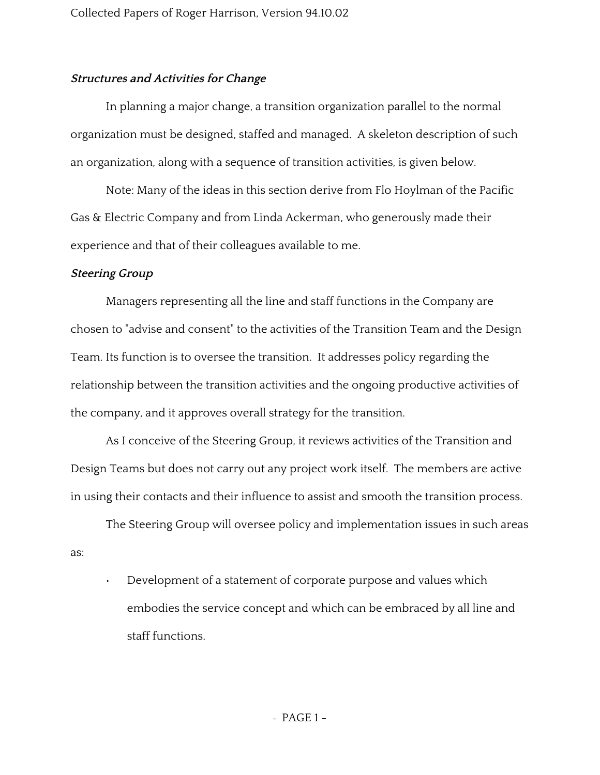### **Structures and Activities for Change**

In planning a major change, a transition organization parallel to the normal organization must be designed, staffed and managed. A skeleton description of such an organization, along with a sequence of transition activities, is given below.

Note: Many of the ideas in this section derive from Flo Hoylman of the Pacific Gas & Electric Company and from Linda Ackerman, who generously made their experience and that of their colleagues available to me.

#### **Steering Group**

Managers representing all the line and staff functions in the Company are chosen to "advise and consent" to the activities of the Transition Team and the Design Team. Its function is to oversee the transition. It addresses policy regarding the relationship between the transition activities and the ongoing productive activities of the company, and it approves overall strategy for the transition.

As I conceive of the Steering Group, it reviews activities of the Transition and Design Teams but does not carry out any project work itself. The members are active in using their contacts and their influence to assist and smooth the transition process.

The Steering Group will oversee policy and implementation issues in such areas as:

• Development of a statement of corporate purpose and values which embodies the service concept and which can be embraced by all line and staff functions.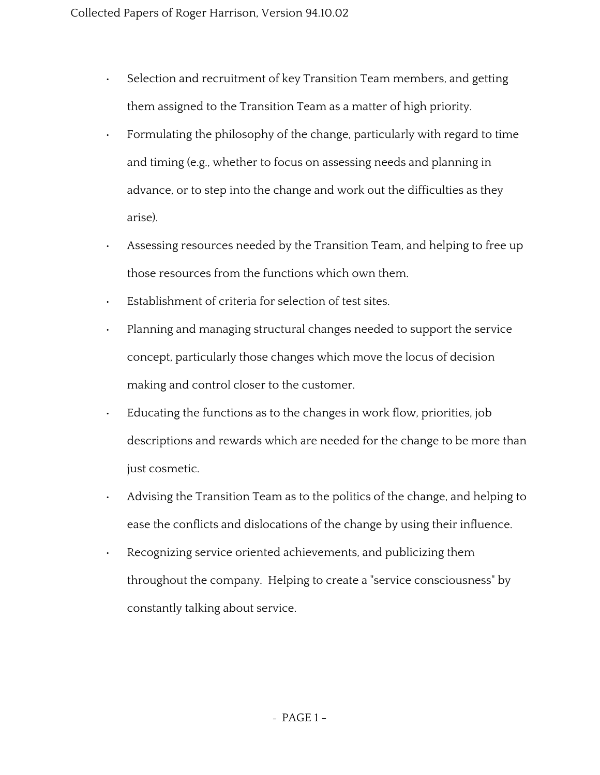- Selection and recruitment of key Transition Team members, and getting them assigned to the Transition Team as a matter of high priority.
- Formulating the philosophy of the change, particularly with regard to time and timing (e.g., whether to focus on assessing needs and planning in advance, or to step into the change and work out the difficulties as they arise).
- Assessing resources needed by the Transition Team, and helping to free up those resources from the functions which own them.
- Establishment of criteria for selection of test sites.
- Planning and managing structural changes needed to support the service concept, particularly those changes which move the locus of decision making and control closer to the customer.
- Educating the functions as to the changes in work flow, priorities, job descriptions and rewards which are needed for the change to be more than just cosmetic.
- Advising the Transition Team as to the politics of the change, and helping to ease the conflicts and dislocations of the change by using their influence.
- Recognizing service oriented achievements, and publicizing them throughout the company. Helping to create a "service consciousness" by constantly talking about service.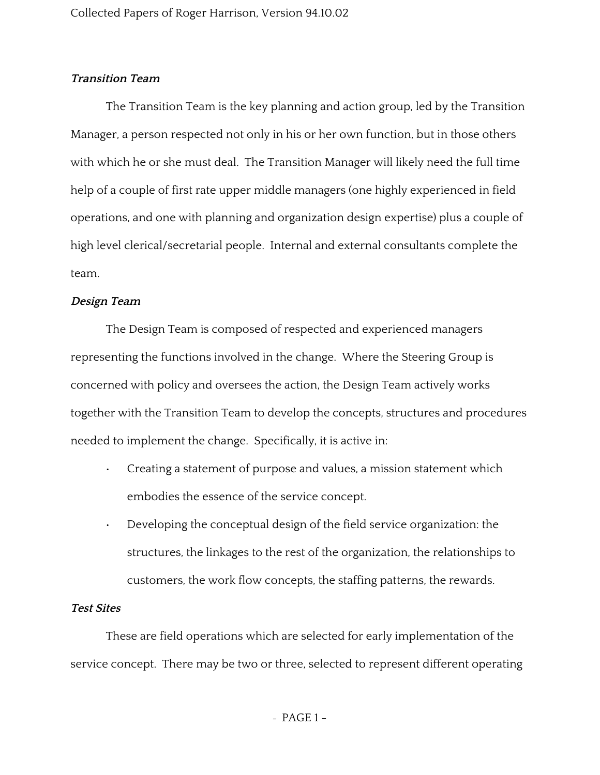### **Transition Team**

The Transition Team is the key planning and action group, led by the Transition Manager, a person respected not only in his or her own function, but in those others with which he or she must deal. The Transition Manager will likely need the full time help of a couple of first rate upper middle managers (one highly experienced in field operations, and one with planning and organization design expertise) plus a couple of high level clerical/secretarial people. Internal and external consultants complete the team.

### **Design Team**

The Design Team is composed of respected and experienced managers representing the functions involved in the change. Where the Steering Group is concerned with policy and oversees the action, the Design Team actively works together with the Transition Team to develop the concepts, structures and procedures needed to implement the change. Specifically, it is active in:

- Creating a statement of purpose and values, a mission statement which embodies the essence of the service concept.
- Developing the conceptual design of the field service organization: the structures, the linkages to the rest of the organization, the relationships to customers, the work flow concepts, the staffing patterns, the rewards.

### **Test Sites**

These are field operations which are selected for early implementation of the service concept. There may be two or three, selected to represent different operating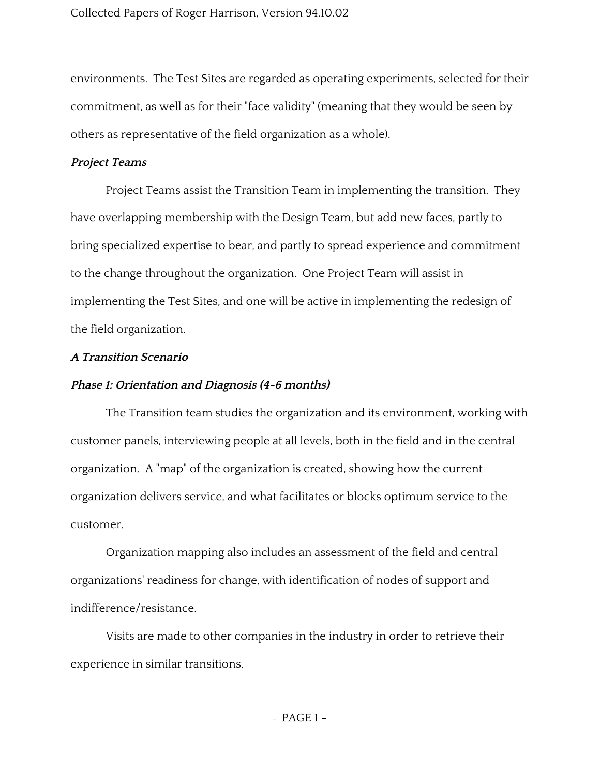environments. The Test Sites are regarded as operating experiments, selected for their commitment, as well as for their "face validity" (meaning that they would be seen by others as representative of the field organization as a whole).

### **Project Teams**

Project Teams assist the Transition Team in implementing the transition. They have overlapping membership with the Design Team, but add new faces, partly to bring specialized expertise to bear, and partly to spread experience and commitment to the change throughout the organization. One Project Team will assist in implementing the Test Sites, and one will be active in implementing the redesign of the field organization.

#### **A Transition Scenario**

### **Phase 1: Orientation and Diagnosis (4-6 months)**

The Transition team studies the organization and its environment, working with customer panels, interviewing people at all levels, both in the field and in the central organization. A "map" of the organization is created, showing how the current organization delivers service, and what facilitates or blocks optimum service to the customer.

Organization mapping also includes an assessment of the field and central organizations' readiness for change, with identification of nodes of support and indifference/resistance.

Visits are made to other companies in the industry in order to retrieve their experience in similar transitions.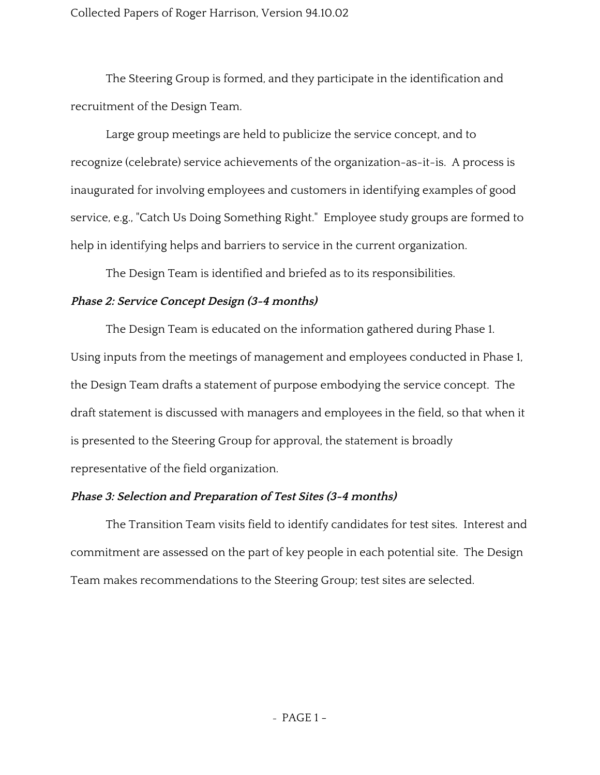The Steering Group is formed, and they participate in the identification and recruitment of the Design Team.

Large group meetings are held to publicize the service concept, and to recognize (celebrate) service achievements of the organization-as-it-is. A process is inaugurated for involving employees and customers in identifying examples of good service, e.g., "Catch Us Doing Something Right." Employee study groups are formed to help in identifying helps and barriers to service in the current organization.

The Design Team is identified and briefed as to its responsibilities.

## **Phase 2: Service Concept Design (3-4 months)**

The Design Team is educated on the information gathered during Phase 1. Using inputs from the meetings of management and employees conducted in Phase 1, the Design Team drafts a statement of purpose embodying the service concept. The draft statement is discussed with managers and employees in the field, so that when it is presented to the Steering Group for approval, the statement is broadly representative of the field organization.

# **Phase 3: Selection and Preparation of Test Sites (3-4 months)**

The Transition Team visits field to identify candidates for test sites. Interest and commitment are assessed on the part of key people in each potential site. The Design Team makes recommendations to the Steering Group; test sites are selected.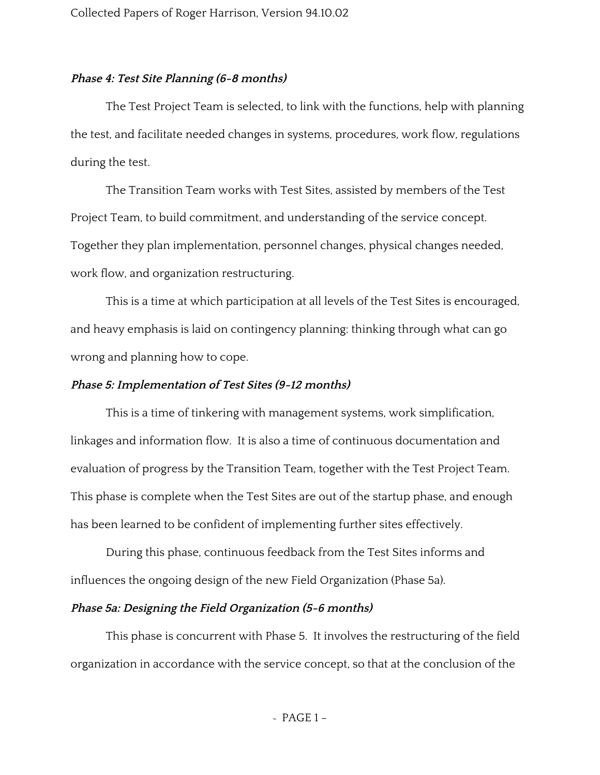### **Phase 4: Test Site Planning (6-8 months)**

The Test Project Team is selected, to link with the functions, help with planning the test, and facilitate needed changes in systems, procedures, work flow, regulations during the test.

The Transition Team works with Test Sites, assisted by members of the Test Project Team, to build commitment, and understanding of the service concept. Together they plan implementation, personnel changes, physical changes needed, work flow, and organization restructuring.

This is a time at which participation at all levels of the Test Sites is encouraged, and heavy emphasis is laid on contingency planning: thinking through what can go wrong and planning how to cope.

### **Phase 5: Implementation of Test Sites (9-12 months)**

This is a time of tinkering with management systems, work simplification, linkages and information flow. It is also a time of continuous documentation and evaluation of progress by the Transition Team, together with the Test Project Team. This phase is complete when the Test Sites are out of the startup phase, and enough has been learned to be confident of implementing further sites effectively.

During this phase, continuous feedback from the Test Sites informs and influences the ongoing design of the new Field Organization (Phase 5a).

### **Phase 5a: Designing the Field Organization (5-6 months)**

This phase is concurrent with Phase 5. It involves the restructuring of the field organization in accordance with the service concept, so that at the conclusion of the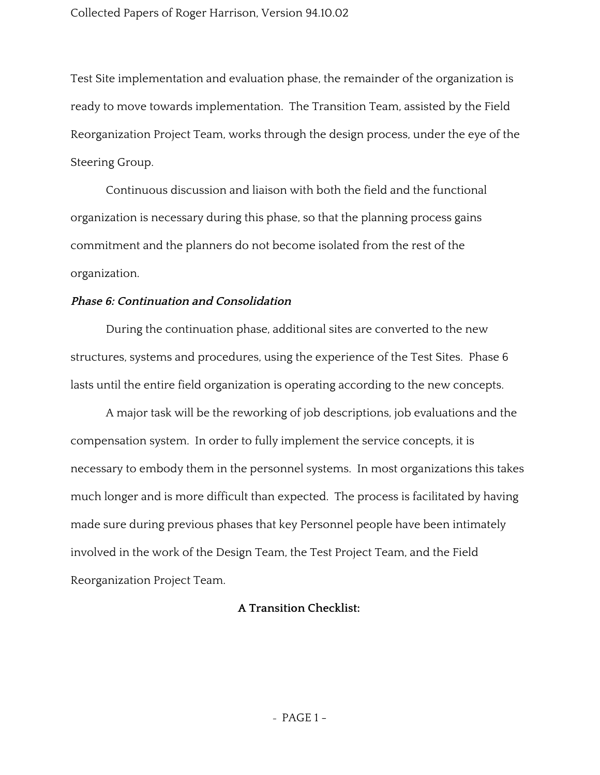Test Site implementation and evaluation phase, the remainder of the organization is ready to move towards implementation. The Transition Team, assisted by the Field Reorganization Project Team, works through the design process, under the eye of the Steering Group.

Continuous discussion and liaison with both the field and the functional organization is necessary during this phase, so that the planning process gains commitment and the planners do not become isolated from the rest of the organization.

### **Phase 6: Continuation and Consolidation**

During the continuation phase, additional sites are converted to the new structures, systems and procedures, using the experience of the Test Sites. Phase 6 lasts until the entire field organization is operating according to the new concepts.

A major task will be the reworking of job descriptions, job evaluations and the compensation system. In order to fully implement the service concepts, it is necessary to embody them in the personnel systems. In most organizations this takes much longer and is more difficult than expected. The process is facilitated by having made sure during previous phases that key Personnel people have been intimately involved in the work of the Design Team, the Test Project Team, and the Field Reorganization Project Team.

## **A Transition Checklist:**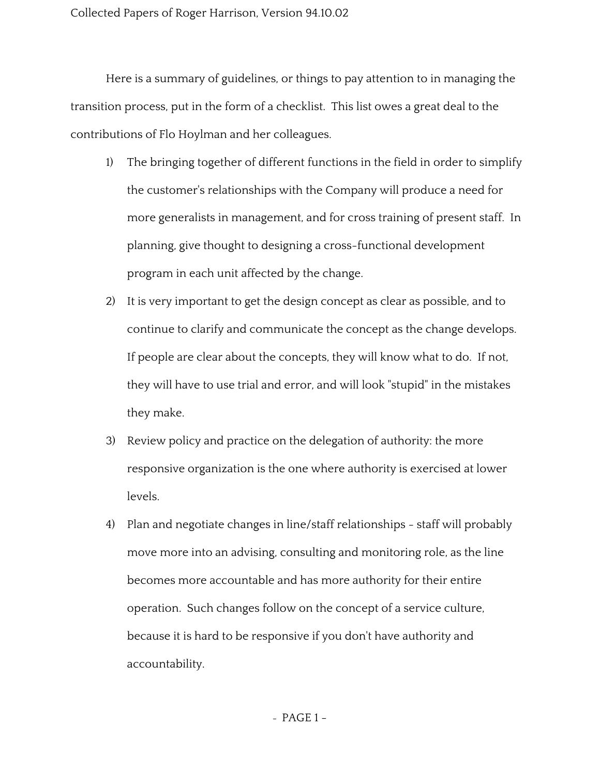Here is a summary of guidelines, or things to pay attention to in managing the transition process, put in the form of a checklist. This list owes a great deal to the contributions of Flo Hoylman and her colleagues.

- 1) The bringing together of different functions in the field in order to simplify the customer's relationships with the Company will produce a need for more generalists in management, and for cross training of present staff. In planning, give thought to designing a cross-functional development program in each unit affected by the change.
- 2) It is very important to get the design concept as clear as possible, and to continue to clarify and communicate the concept as the change develops. If people are clear about the concepts, they will know what to do. If not, they will have to use trial and error, and will look "stupid" in the mistakes they make.
- 3) Review policy and practice on the delegation of authority: the more responsive organization is the one where authority is exercised at lower levels.
- 4) Plan and negotiate changes in line/staff relationships staff will probably move more into an advising, consulting and monitoring role, as the line becomes more accountable and has more authority for their entire operation. Such changes follow on the concept of a service culture, because it is hard to be responsive if you don't have authority and accountability.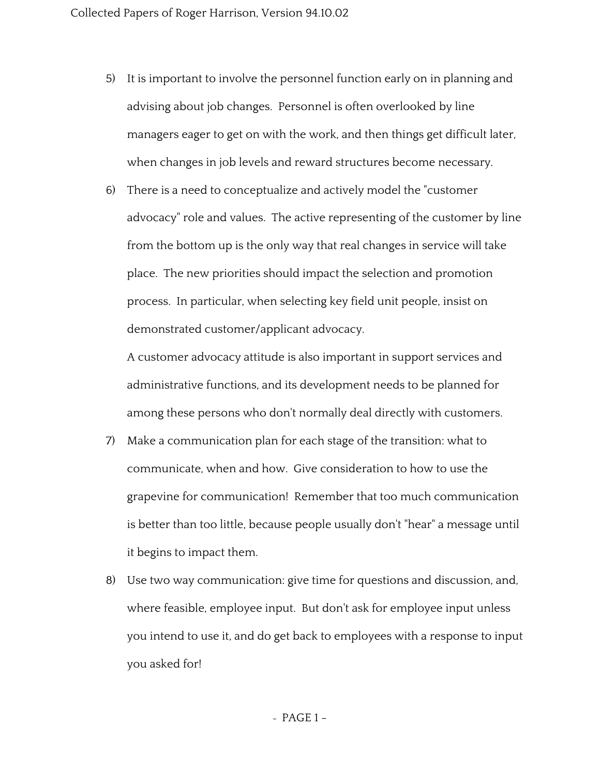- 5) It is important to involve the personnel function early on in planning and advising about job changes. Personnel is often overlooked by line managers eager to get on with the work, and then things get difficult later, when changes in job levels and reward structures become necessary.
- 6) There is a need to conceptualize and actively model the "customer advocacy" role and values. The active representing of the customer by line from the bottom up is the only way that real changes in service will take place. The new priorities should impact the selection and promotion process. In particular, when selecting key field unit people, insist on demonstrated customer/applicant advocacy.

A customer advocacy attitude is also important in support services and administrative functions, and its development needs to be planned for among these persons who don't normally deal directly with customers.

- 7) Make a communication plan for each stage of the transition: what to communicate, when and how. Give consideration to how to use the grapevine for communication! Remember that too much communication is better than too little, because people usually don't "hear" a message until it begins to impact them.
- 8) Use two way communication: give time for questions and discussion, and, where feasible, employee input. But don't ask for employee input unless you intend to use it, and do get back to employees with a response to input you asked for!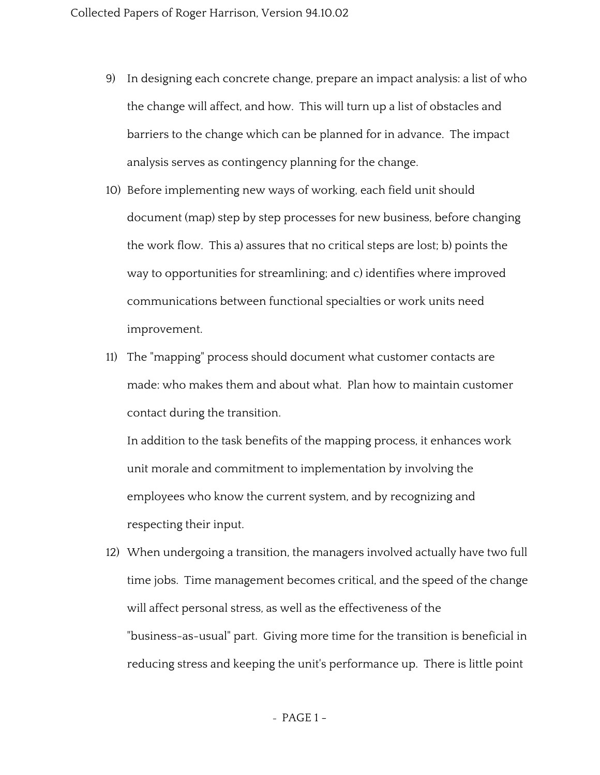- 9) In designing each concrete change, prepare an impact analysis: a list of who the change will affect, and how. This will turn up a list of obstacles and barriers to the change which can be planned for in advance. The impact analysis serves as contingency planning for the change.
- 10) Before implementing new ways of working, each field unit should document (map) step by step processes for new business, before changing the work flow. This a) assures that no critical steps are lost; b) points the way to opportunities for streamlining; and c) identifies where improved communications between functional specialties or work units need improvement.
- 11) The "mapping" process should document what customer contacts are made: who makes them and about what. Plan how to maintain customer contact during the transition.

In addition to the task benefits of the mapping process, it enhances work unit morale and commitment to implementation by involving the employees who know the current system, and by recognizing and respecting their input.

12) When undergoing a transition, the managers involved actually have two full time jobs. Time management becomes critical, and the speed of the change will affect personal stress, as well as the effectiveness of the "business-as-usual" part. Giving more time for the transition is beneficial in reducing stress and keeping the unit's performance up. There is little point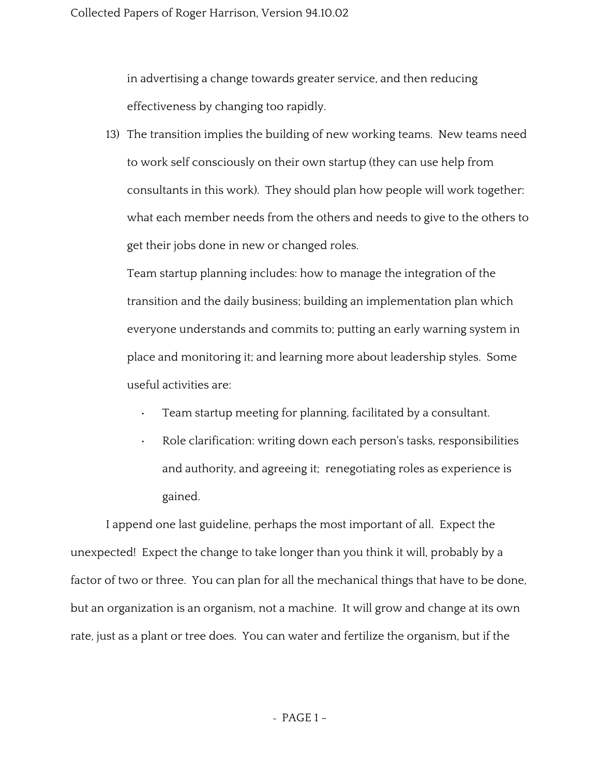in advertising a change towards greater service, and then reducing effectiveness by changing too rapidly.

13) The transition implies the building of new working teams. New teams need to work self consciously on their own startup (they can use help from consultants in this work). They should plan how people will work together: what each member needs from the others and needs to give to the others to get their jobs done in new or changed roles.

Team startup planning includes: how to manage the integration of the transition and the daily business; building an implementation plan which everyone understands and commits to; putting an early warning system in place and monitoring it; and learning more about leadership styles. Some useful activities are:

- Team startup meeting for planning, facilitated by a consultant.
- Role clarification: writing down each person's tasks, responsibilities and authority, and agreeing it; renegotiating roles as experience is gained.

I append one last guideline, perhaps the most important of all. Expect the unexpected! Expect the change to take longer than you think it will, probably by a factor of two or three. You can plan for all the mechanical things that have to be done, but an organization is an organism, not a machine. It will grow and change at its own rate, just as a plant or tree does. You can water and fertilize the organism, but if the